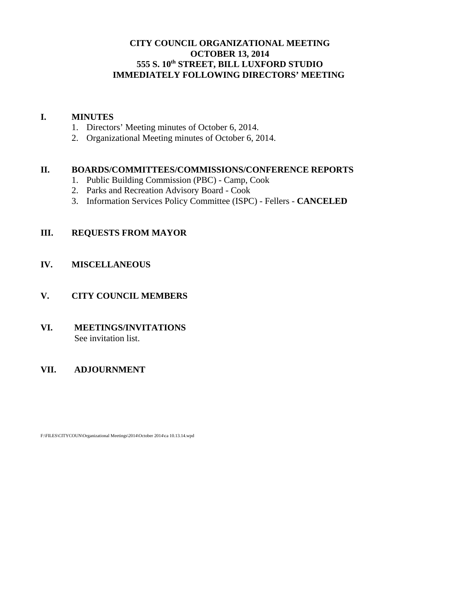# **CITY COUNCIL ORGANIZATIONAL MEETING OCTOBER 13, 2014 555 S. 10th STREET, BILL LUXFORD STUDIO IMMEDIATELY FOLLOWING DIRECTORS' MEETING**

## **I. MINUTES**

- 1. Directors' Meeting minutes of October 6, 2014.
- 2. Organizational Meeting minutes of October 6, 2014.

## **II. BOARDS/COMMITTEES/COMMISSIONS/CONFERENCE REPORTS**

- 1. Public Building Commission (PBC) Camp, Cook
- 2. Parks and Recreation Advisory Board Cook
- 3. Information Services Policy Committee (ISPC) Fellers **CANCELED**

# **III. REQUESTS FROM MAYOR**

# **IV. MISCELLANEOUS**

# **V. CITY COUNCIL MEMBERS**

## **VI. MEETINGS/INVITATIONS** See invitation list.

# **VII. ADJOURNMENT**

F:\FILES\CITYCOUN\Organizational Meetings\2014\October 2014\ca 10.13.14.wpd